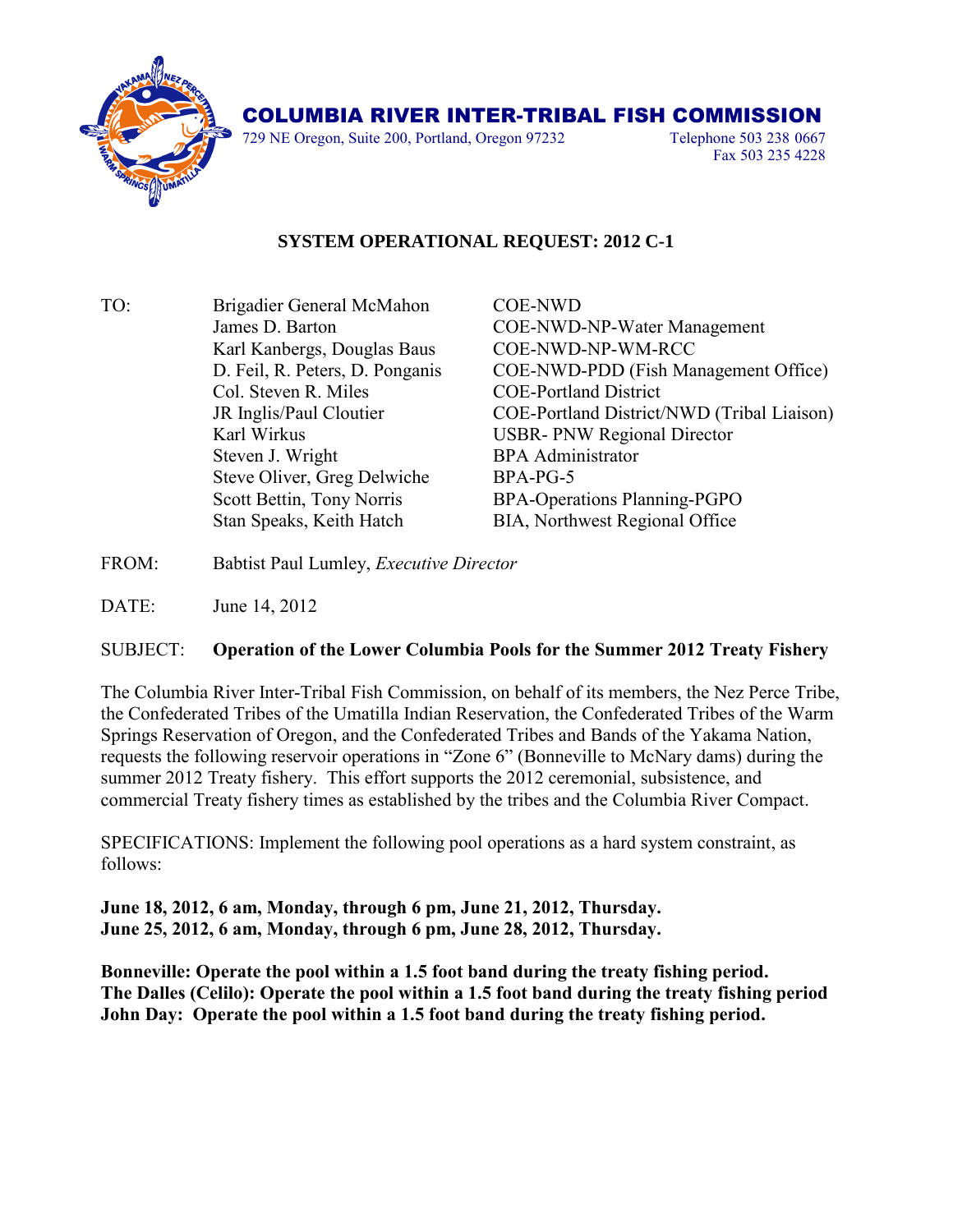

## COLUMBIA RIVER INTER-TRIBAL FISH COMMISSION

729 NE Oregon, Suite 200, Portland, Oregon 97232 Telephone 503 238 0667

Fax 503 235 4228

## **SYSTEM OPERATIONAL REQUEST: 2012 C-1**

| TO: | Brigadier General McMahon       | <b>COE-NWD</b>                             |
|-----|---------------------------------|--------------------------------------------|
|     | James D. Barton                 | <b>COE-NWD-NP-Water Management</b>         |
|     | Karl Kanbergs, Douglas Baus     | COE-NWD-NP-WM-RCC                          |
|     | D. Feil, R. Peters, D. Ponganis | COE-NWD-PDD (Fish Management Office)       |
|     | Col. Steven R. Miles            | <b>COE-Portland District</b>               |
|     | JR Inglis/Paul Cloutier         | COE-Portland District/NWD (Tribal Liaison) |
|     | Karl Wirkus                     | <b>USBR-PNW Regional Director</b>          |
|     | Steven J. Wright                | <b>BPA</b> Administrator                   |
|     | Steve Oliver, Greg Delwiche     | BPA-PG-5                                   |
|     | Scott Bettin, Tony Norris       | BPA-Operations Planning-PGPO               |
|     | Stan Speaks, Keith Hatch        | BIA, Northwest Regional Office             |
|     |                                 |                                            |

- FROM: Babtist Paul Lumley, *Executive Director*
- DATE: June 14, 2012

## SUBJECT: **Operation of the Lower Columbia Pools for the Summer 2012 Treaty Fishery**

The Columbia River Inter-Tribal Fish Commission, on behalf of its members, the Nez Perce Tribe, the Confederated Tribes of the Umatilla Indian Reservation, the Confederated Tribes of the Warm Springs Reservation of Oregon, and the Confederated Tribes and Bands of the Yakama Nation, requests the following reservoir operations in "Zone 6" (Bonneville to McNary dams) during the summer 2012 Treaty fishery. This effort supports the 2012 ceremonial, subsistence, and commercial Treaty fishery times as established by the tribes and the Columbia River Compact.

SPECIFICATIONS: Implement the following pool operations as a hard system constraint, as follows:

**June 18, 2012, 6 am, Monday, through 6 pm, June 21, 2012, Thursday. June 25, 2012, 6 am, Monday, through 6 pm, June 28, 2012, Thursday.**

**Bonneville: Operate the pool within a 1.5 foot band during the treaty fishing period. The Dalles (Celilo): Operate the pool within a 1.5 foot band during the treaty fishing period John Day: Operate the pool within a 1.5 foot band during the treaty fishing period.**